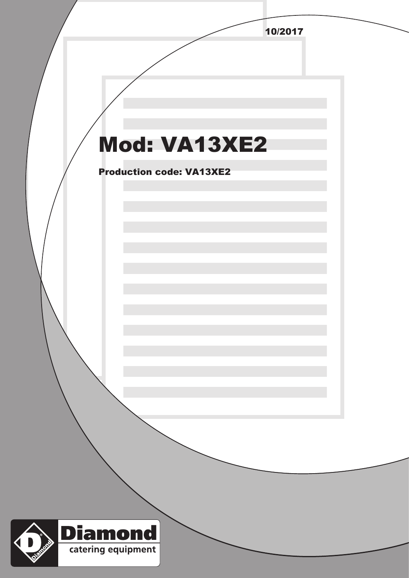|                                   | 10/2017 |  |
|-----------------------------------|---------|--|
|                                   |         |  |
|                                   |         |  |
|                                   |         |  |
|                                   |         |  |
|                                   |         |  |
| <b>Mod: VA13XE2</b>               |         |  |
|                                   |         |  |
| <b>Production code: VA13XE2</b>   |         |  |
|                                   |         |  |
|                                   |         |  |
|                                   |         |  |
|                                   |         |  |
|                                   |         |  |
|                                   |         |  |
|                                   |         |  |
|                                   |         |  |
|                                   |         |  |
|                                   |         |  |
|                                   |         |  |
|                                   |         |  |
|                                   |         |  |
|                                   |         |  |
|                                   |         |  |
|                                   |         |  |
|                                   |         |  |
|                                   |         |  |
| <b>Diamond</b>                    |         |  |
| <b>TIME</b><br>catering equipment |         |  |
|                                   |         |  |